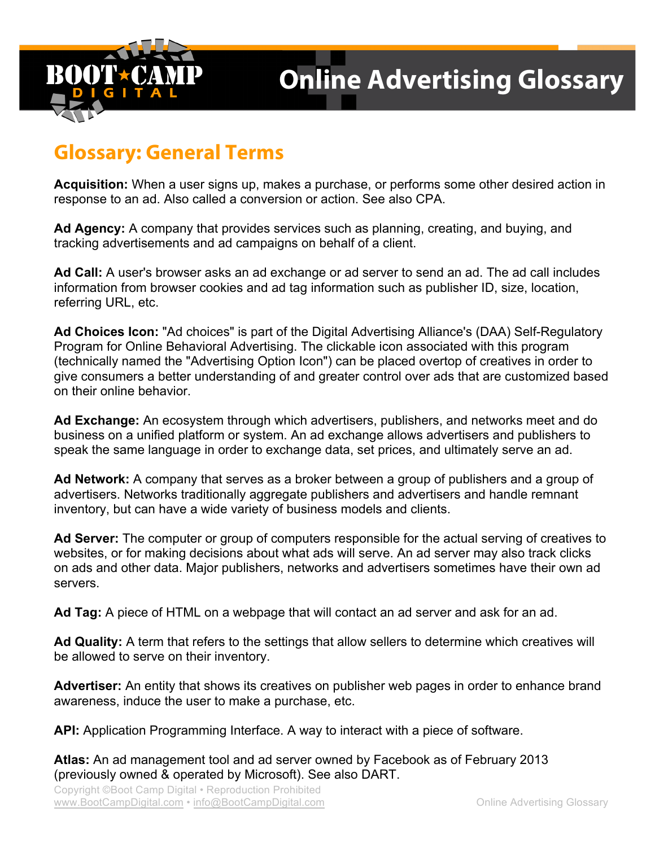

## **Glossary: General Terms**

**Acquisition:** When a user signs up, makes a purchase, or performs some other desired action in response to an ad. Also called a conversion or action. See also CPA.

**Ad Agency:** A company that provides services such as planning, creating, and buying, and tracking advertisements and ad campaigns on behalf of a client.

**Ad Call:** A user's browser asks an ad exchange or ad server to send an ad. The ad call includes information from browser cookies and ad tag information such as publisher ID, size, location, referring URL, etc.

**Ad Choices Icon:** "Ad choices" is part of the Digital Advertising Alliance's (DAA) Self-Regulatory Program for Online Behavioral Advertising. The clickable icon associated with this program (technically named the "Advertising Option Icon") can be placed overtop of creatives in order to give consumers a better understanding of and greater control over ads that are customized based on their online behavior.

**Ad Exchange:** An ecosystem through which advertisers, publishers, and networks meet and do business on a unified platform or system. An ad exchange allows advertisers and publishers to speak the same language in order to exchange data, set prices, and ultimately serve an ad.

**Ad Network:** A company that serves as a broker between a group of publishers and a group of advertisers. Networks traditionally aggregate publishers and advertisers and handle remnant inventory, but can have a wide variety of business models and clients.

**Ad Server:** The computer or group of computers responsible for the actual serving of creatives to websites, or for making decisions about what ads will serve. An ad server may also track clicks on ads and other data. Major publishers, networks and advertisers sometimes have their own ad servers.

**Ad Tag:** A piece of HTML on a webpage that will contact an ad server and ask for an ad.

**Ad Quality:** A term that refers to the settings that allow sellers to determine which creatives will be allowed to serve on their inventory.

**Advertiser:** An entity that shows its creatives on publisher web pages in order to enhance brand awareness, induce the user to make a purchase, etc.

**API:** Application Programming Interface. A way to interact with a piece of software.

**Atlas:** An ad management tool and ad server owned by Facebook as of February 2013 (previously owned & operated by Microsoft). See also DART.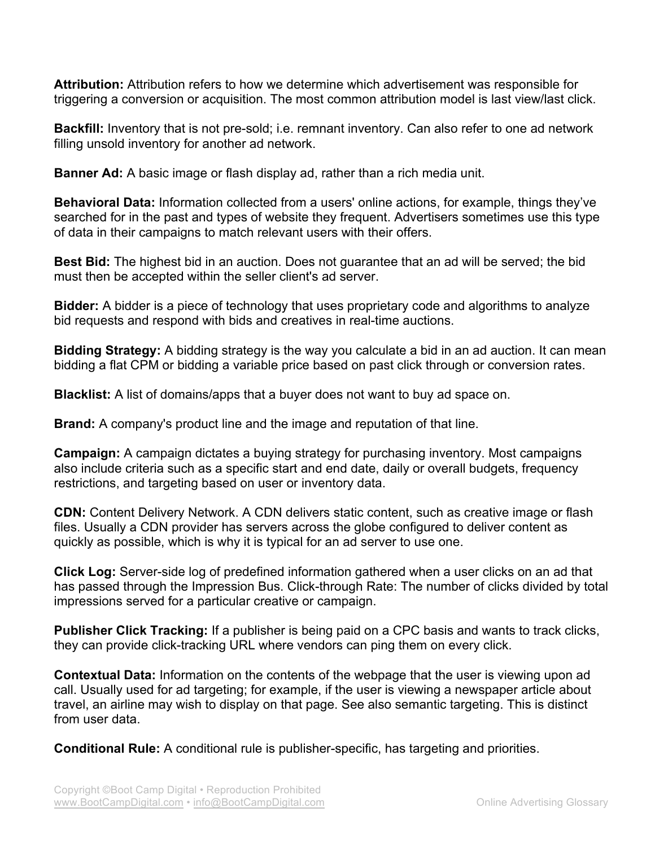**Attribution:** Attribution refers to how we determine which advertisement was responsible for triggering a conversion or acquisition. The most common attribution model is last view/last click.

**Backfill:** Inventory that is not pre-sold; i.e. remnant inventory. Can also refer to one ad network filling unsold inventory for another ad network.

**Banner Ad:** A basic image or flash display ad, rather than a rich media unit.

**Behavioral Data:** Information collected from a users' online actions, for example, things they've searched for in the past and types of website they frequent. Advertisers sometimes use this type of data in their campaigns to match relevant users with their offers.

**Best Bid:** The highest bid in an auction. Does not guarantee that an ad will be served; the bid must then be accepted within the seller client's ad server.

**Bidder:** A bidder is a piece of technology that uses proprietary code and algorithms to analyze bid requests and respond with bids and creatives in real-time auctions.

**Bidding Strategy:** A bidding strategy is the way you calculate a bid in an ad auction. It can mean bidding a flat CPM or bidding a variable price based on past click through or conversion rates.

**Blacklist:** A list of domains/apps that a buyer does not want to buy ad space on.

**Brand:** A company's product line and the image and reputation of that line.

**Campaign:** A campaign dictates a buying strategy for purchasing inventory. Most campaigns also include criteria such as a specific start and end date, daily or overall budgets, frequency restrictions, and targeting based on user or inventory data.

**CDN:** Content Delivery Network. A CDN delivers static content, such as creative image or flash files. Usually a CDN provider has servers across the globe configured to deliver content as quickly as possible, which is why it is typical for an ad server to use one.

**Click Log:** Server-side log of predefined information gathered when a user clicks on an ad that has passed through the Impression Bus. Click-through Rate: The number of clicks divided by total impressions served for a particular creative or campaign.

**Publisher Click Tracking:** If a publisher is being paid on a CPC basis and wants to track clicks, they can provide click-tracking URL where vendors can ping them on every click.

**Contextual Data:** Information on the contents of the webpage that the user is viewing upon ad call. Usually used for ad targeting; for example, if the user is viewing a newspaper article about travel, an airline may wish to display on that page. See also semantic targeting. This is distinct from user data.

**Conditional Rule:** A conditional rule is publisher-specific, has targeting and priorities.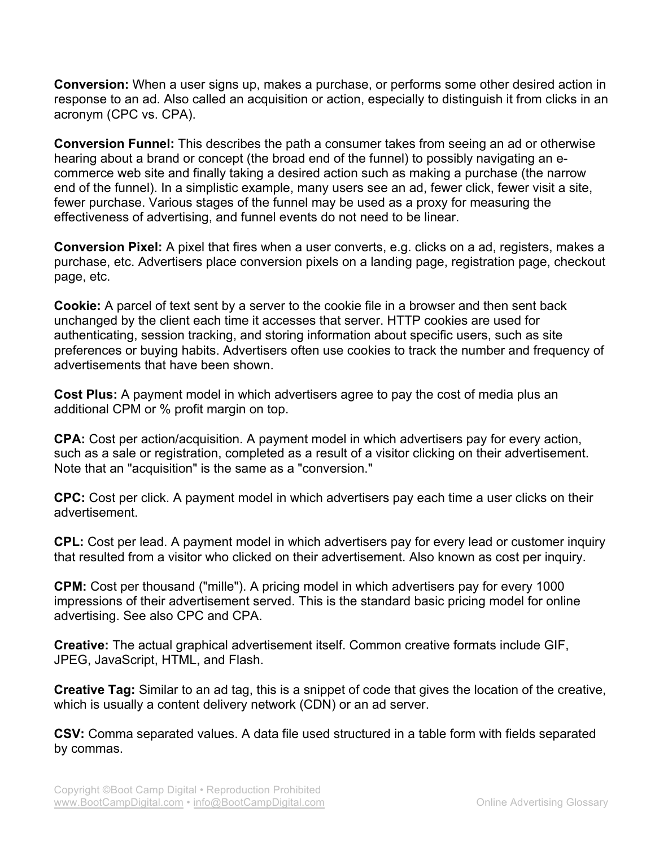**Conversion:** When a user signs up, makes a purchase, or performs some other desired action in response to an ad. Also called an acquisition or action, especially to distinguish it from clicks in an acronym (CPC vs. CPA).

**Conversion Funnel:** This describes the path a consumer takes from seeing an ad or otherwise hearing about a brand or concept (the broad end of the funnel) to possibly navigating an ecommerce web site and finally taking a desired action such as making a purchase (the narrow end of the funnel). In a simplistic example, many users see an ad, fewer click, fewer visit a site, fewer purchase. Various stages of the funnel may be used as a proxy for measuring the effectiveness of advertising, and funnel events do not need to be linear.

**Conversion Pixel:** A pixel that fires when a user converts, e.g. clicks on a ad, registers, makes a purchase, etc. Advertisers place conversion pixels on a landing page, registration page, checkout page, etc.

**Cookie:** A parcel of text sent by a server to the cookie file in a browser and then sent back unchanged by the client each time it accesses that server. HTTP cookies are used for authenticating, session tracking, and storing information about specific users, such as site preferences or buying habits. Advertisers often use cookies to track the number and frequency of advertisements that have been shown.

**Cost Plus:** A payment model in which advertisers agree to pay the cost of media plus an additional CPM or % profit margin on top.

**CPA:** Cost per action/acquisition. A payment model in which advertisers pay for every action, such as a sale or registration, completed as a result of a visitor clicking on their advertisement. Note that an "acquisition" is the same as a "conversion."

**CPC:** Cost per click. A payment model in which advertisers pay each time a user clicks on their advertisement.

**CPL:** Cost per lead. A payment model in which advertisers pay for every lead or customer inquiry that resulted from a visitor who clicked on their advertisement. Also known as cost per inquiry.

**CPM:** Cost per thousand ("mille"). A pricing model in which advertisers pay for every 1000 impressions of their advertisement served. This is the standard basic pricing model for online advertising. See also CPC and CPA.

**Creative:** The actual graphical advertisement itself. Common creative formats include GIF, JPEG, JavaScript, HTML, and Flash.

**Creative Tag:** Similar to an ad tag, this is a snippet of code that gives the location of the creative, which is usually a content delivery network (CDN) or an ad server.

**CSV:** Comma separated values. A data file used structured in a table form with fields separated by commas.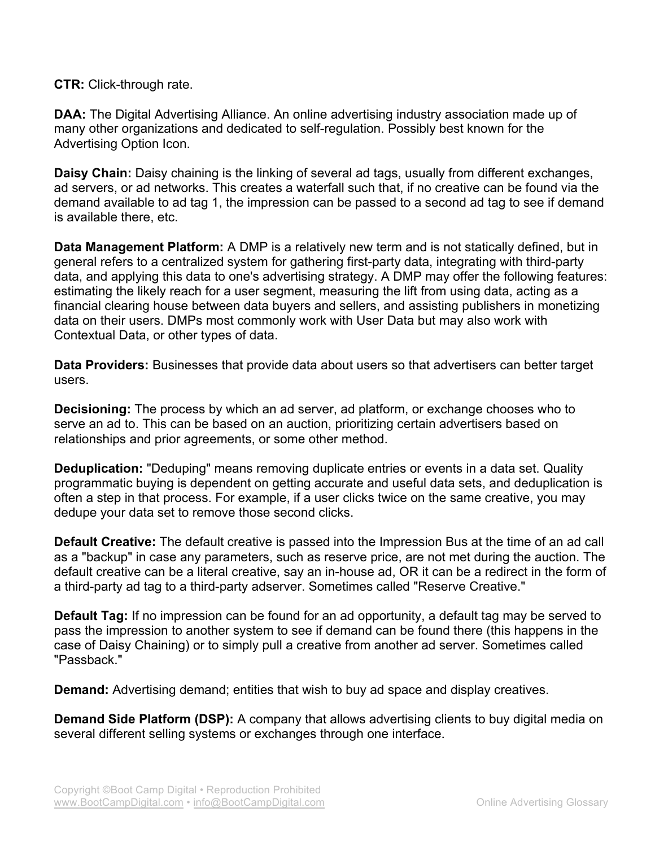**CTR:** Click-through rate.

**DAA:** The Digital Advertising Alliance. An online advertising industry association made up of many other organizations and dedicated to self-regulation. Possibly best known for the Advertising Option Icon.

**Daisy Chain:** Daisy chaining is the linking of several ad tags, usually from different exchanges, ad servers, or ad networks. This creates a waterfall such that, if no creative can be found via the demand available to ad tag 1, the impression can be passed to a second ad tag to see if demand is available there, etc.

**Data Management Platform:** A DMP is a relatively new term and is not statically defined, but in general refers to a centralized system for gathering first-party data, integrating with third-party data, and applying this data to one's advertising strategy. A DMP may offer the following features: estimating the likely reach for a user segment, measuring the lift from using data, acting as a financial clearing house between data buyers and sellers, and assisting publishers in monetizing data on their users. DMPs most commonly work with User Data but may also work with Contextual Data, or other types of data.

**Data Providers:** Businesses that provide data about users so that advertisers can better target users.

**Decisioning:** The process by which an ad server, ad platform, or exchange chooses who to serve an ad to. This can be based on an auction, prioritizing certain advertisers based on relationships and prior agreements, or some other method.

**Deduplication:** "Deduping" means removing duplicate entries or events in a data set. Quality programmatic buying is dependent on getting accurate and useful data sets, and deduplication is often a step in that process. For example, if a user clicks twice on the same creative, you may dedupe your data set to remove those second clicks.

**Default Creative:** The default creative is passed into the Impression Bus at the time of an ad call as a "backup" in case any parameters, such as reserve price, are not met during the auction. The default creative can be a literal creative, say an in-house ad, OR it can be a redirect in the form of a third-party ad tag to a third-party adserver. Sometimes called "Reserve Creative."

**Default Tag:** If no impression can be found for an ad opportunity, a default tag may be served to pass the impression to another system to see if demand can be found there (this happens in the case of Daisy Chaining) or to simply pull a creative from another ad server. Sometimes called "Passback."

**Demand:** Advertising demand; entities that wish to buy ad space and display creatives.

**Demand Side Platform (DSP):** A company that allows advertising clients to buy digital media on several different selling systems or exchanges through one interface.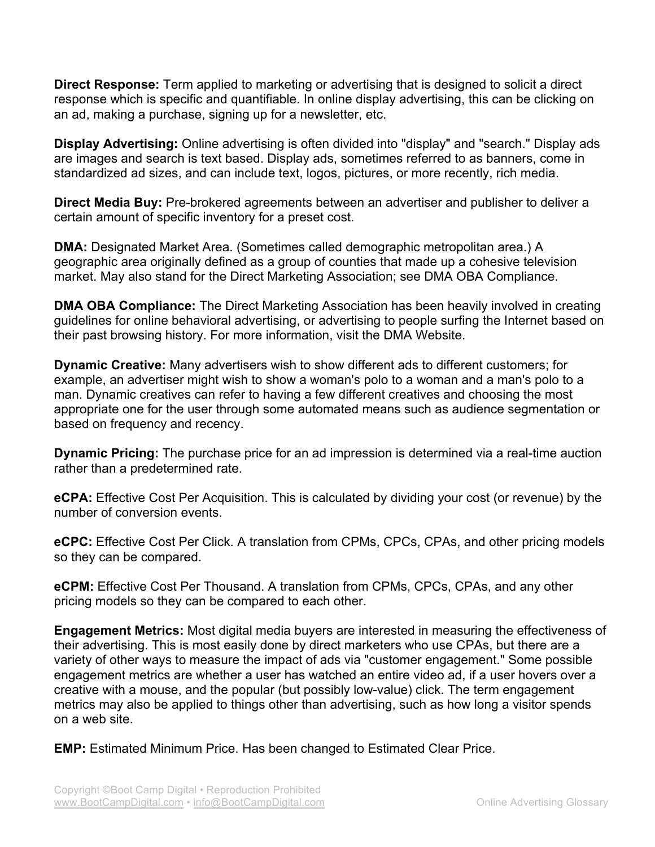**Direct Response:** Term applied to marketing or advertising that is designed to solicit a direct response which is specific and quantifiable. In online display advertising, this can be clicking on an ad, making a purchase, signing up for a newsletter, etc.

**Display Advertising:** Online advertising is often divided into "display" and "search." Display ads are images and search is text based. Display ads, sometimes referred to as banners, come in standardized ad sizes, and can include text, logos, pictures, or more recently, rich media.

**Direct Media Buy:** Pre-brokered agreements between an advertiser and publisher to deliver a certain amount of specific inventory for a preset cost.

**DMA:** Designated Market Area. (Sometimes called demographic metropolitan area.) A geographic area originally defined as a group of counties that made up a cohesive television market. May also stand for the Direct Marketing Association; see DMA OBA Compliance.

**DMA OBA Compliance:** The Direct Marketing Association has been heavily involved in creating guidelines for online behavioral advertising, or advertising to people surfing the Internet based on their past browsing history. For more information, visit the DMA Website.

**Dynamic Creative:** Many advertisers wish to show different ads to different customers; for example, an advertiser might wish to show a woman's polo to a woman and a man's polo to a man. Dynamic creatives can refer to having a few different creatives and choosing the most appropriate one for the user through some automated means such as audience segmentation or based on frequency and recency.

**Dynamic Pricing:** The purchase price for an ad impression is determined via a real-time auction rather than a predetermined rate.

**eCPA:** Effective Cost Per Acquisition. This is calculated by dividing your cost (or revenue) by the number of conversion events.

**eCPC:** Effective Cost Per Click. A translation from CPMs, CPCs, CPAs, and other pricing models so they can be compared.

**eCPM:** Effective Cost Per Thousand. A translation from CPMs, CPCs, CPAs, and any other pricing models so they can be compared to each other.

**Engagement Metrics:** Most digital media buyers are interested in measuring the effectiveness of their advertising. This is most easily done by direct marketers who use CPAs, but there are a variety of other ways to measure the impact of ads via "customer engagement." Some possible engagement metrics are whether a user has watched an entire video ad, if a user hovers over a creative with a mouse, and the popular (but possibly low-value) click. The term engagement metrics may also be applied to things other than advertising, such as how long a visitor spends on a web site.

**EMP:** Estimated Minimum Price. Has been changed to Estimated Clear Price.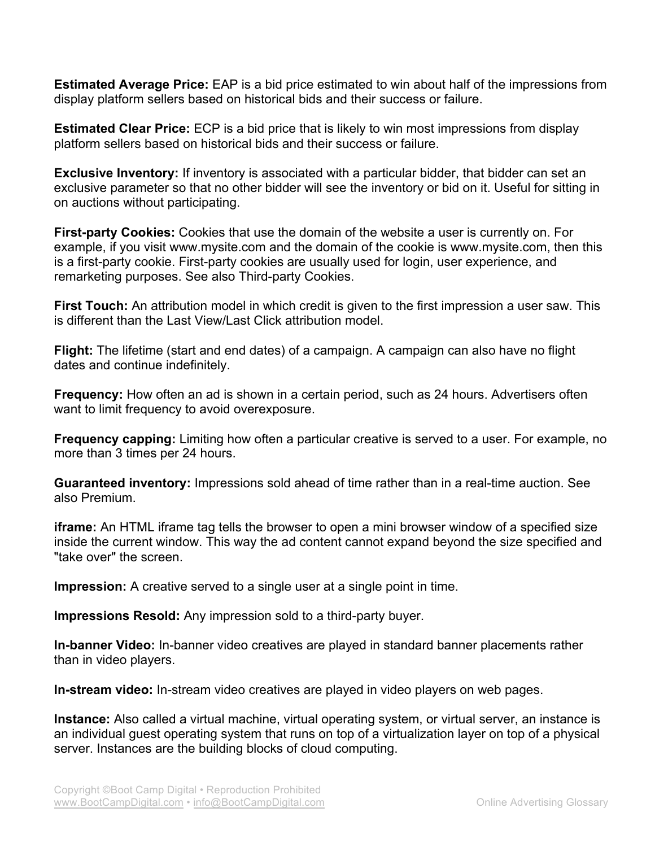**Estimated Average Price:** EAP is a bid price estimated to win about half of the impressions from display platform sellers based on historical bids and their success or failure.

**Estimated Clear Price:** ECP is a bid price that is likely to win most impressions from display platform sellers based on historical bids and their success or failure.

**Exclusive Inventory:** If inventory is associated with a particular bidder, that bidder can set an exclusive parameter so that no other bidder will see the inventory or bid on it. Useful for sitting in on auctions without participating.

**First-party Cookies:** Cookies that use the domain of the website a user is currently on. For example, if you visit www.mysite.com and the domain of the cookie is www.mysite.com, then this is a first-party cookie. First-party cookies are usually used for login, user experience, and remarketing purposes. See also Third-party Cookies.

**First Touch:** An attribution model in which credit is given to the first impression a user saw. This is different than the Last View/Last Click attribution model.

**Flight:** The lifetime (start and end dates) of a campaign. A campaign can also have no flight dates and continue indefinitely.

**Frequency:** How often an ad is shown in a certain period, such as 24 hours. Advertisers often want to limit frequency to avoid overexposure.

**Frequency capping:** Limiting how often a particular creative is served to a user. For example, no more than 3 times per 24 hours.

**Guaranteed inventory:** Impressions sold ahead of time rather than in a real-time auction. See also Premium.

**iframe:** An HTML iframe tag tells the browser to open a mini browser window of a specified size inside the current window. This way the ad content cannot expand beyond the size specified and "take over" the screen.

**Impression:** A creative served to a single user at a single point in time.

**Impressions Resold:** Any impression sold to a third-party buyer.

**In-banner Video:** In-banner video creatives are played in standard banner placements rather than in video players.

**In-stream video:** In-stream video creatives are played in video players on web pages.

**Instance:** Also called a virtual machine, virtual operating system, or virtual server, an instance is an individual guest operating system that runs on top of a virtualization layer on top of a physical server. Instances are the building blocks of cloud computing.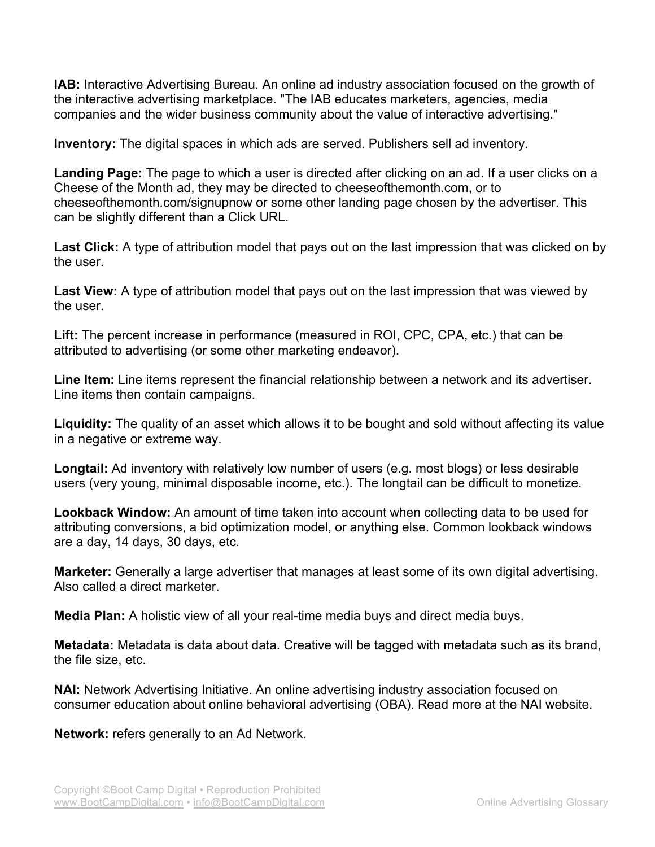**IAB:** Interactive Advertising Bureau. An online ad industry association focused on the growth of the interactive advertising marketplace. "The IAB educates marketers, agencies, media companies and the wider business community about the value of interactive advertising."

**Inventory:** The digital spaces in which ads are served. Publishers sell ad inventory.

**Landing Page:** The page to which a user is directed after clicking on an ad. If a user clicks on a Cheese of the Month ad, they may be directed to cheeseofthemonth.com, or to cheeseofthemonth.com/signupnow or some other landing page chosen by the advertiser. This can be slightly different than a Click URL.

**Last Click:** A type of attribution model that pays out on the last impression that was clicked on by the user.

**Last View:** A type of attribution model that pays out on the last impression that was viewed by the user.

**Lift:** The percent increase in performance (measured in ROI, CPC, CPA, etc.) that can be attributed to advertising (or some other marketing endeavor).

**Line Item:** Line items represent the financial relationship between a network and its advertiser. Line items then contain campaigns.

**Liquidity:** The quality of an asset which allows it to be bought and sold without affecting its value in a negative or extreme way.

**Longtail:** Ad inventory with relatively low number of users (e.g. most blogs) or less desirable users (very young, minimal disposable income, etc.). The longtail can be difficult to monetize.

**Lookback Window:** An amount of time taken into account when collecting data to be used for attributing conversions, a bid optimization model, or anything else. Common lookback windows are a day, 14 days, 30 days, etc.

**Marketer:** Generally a large advertiser that manages at least some of its own digital advertising. Also called a direct marketer.

**Media Plan:** A holistic view of all your real-time media buys and direct media buys.

**Metadata:** Metadata is data about data. Creative will be tagged with metadata such as its brand, the file size, etc.

**NAI:** Network Advertising Initiative. An online advertising industry association focused on consumer education about online behavioral advertising (OBA). Read more at the NAI website.

**Network:** refers generally to an Ad Network.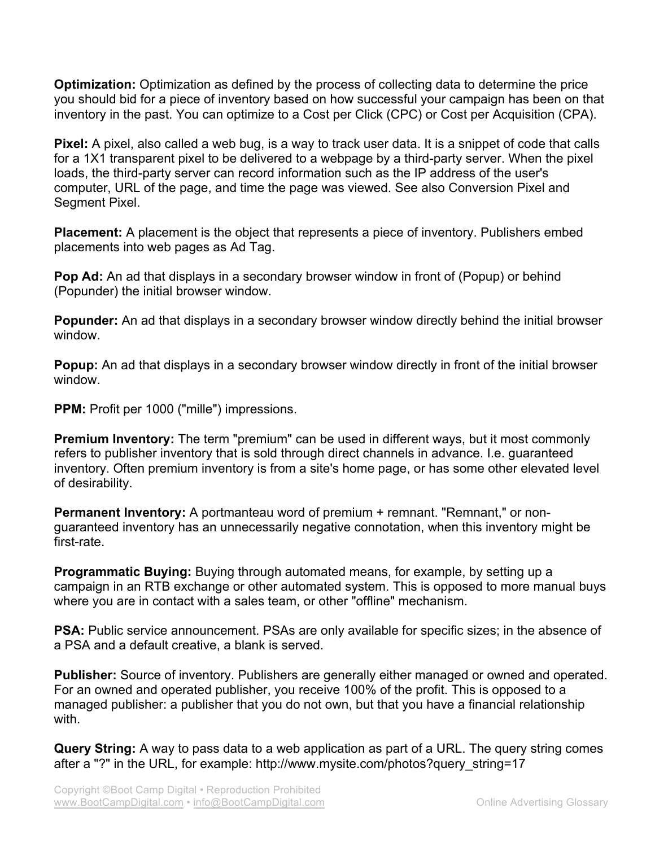**Optimization:** Optimization as defined by the process of collecting data to determine the price you should bid for a piece of inventory based on how successful your campaign has been on that inventory in the past. You can optimize to a Cost per Click (CPC) or Cost per Acquisition (CPA).

**Pixel:** A pixel, also called a web bug, is a way to track user data. It is a snippet of code that calls for a 1X1 transparent pixel to be delivered to a webpage by a third-party server. When the pixel loads, the third-party server can record information such as the IP address of the user's computer, URL of the page, and time the page was viewed. See also Conversion Pixel and Segment Pixel.

**Placement:** A placement is the object that represents a piece of inventory. Publishers embed placements into web pages as Ad Tag.

**Pop Ad:** An ad that displays in a secondary browser window in front of (Popup) or behind (Popunder) the initial browser window.

**Popunder:** An ad that displays in a secondary browser window directly behind the initial browser window.

**Popup:** An ad that displays in a secondary browser window directly in front of the initial browser window.

**PPM:** Profit per 1000 ("mille") impressions.

**Premium Inventory:** The term "premium" can be used in different ways, but it most commonly refers to publisher inventory that is sold through direct channels in advance. I.e. guaranteed inventory. Often premium inventory is from a site's home page, or has some other elevated level of desirability.

**Permanent Inventory:** A portmanteau word of premium + remnant. "Remnant," or nonguaranteed inventory has an unnecessarily negative connotation, when this inventory might be first-rate.

**Programmatic Buying:** Buying through automated means, for example, by setting up a campaign in an RTB exchange or other automated system. This is opposed to more manual buys where you are in contact with a sales team, or other "offline" mechanism.

**PSA:** Public service announcement. PSAs are only available for specific sizes; in the absence of a PSA and a default creative, a blank is served.

**Publisher:** Source of inventory. Publishers are generally either managed or owned and operated. For an owned and operated publisher, you receive 100% of the profit. This is opposed to a managed publisher: a publisher that you do not own, but that you have a financial relationship with.

**Query String:** A way to pass data to a web application as part of a URL. The query string comes after a "?" in the URL, for example: http://www.mysite.com/photos?query\_string=17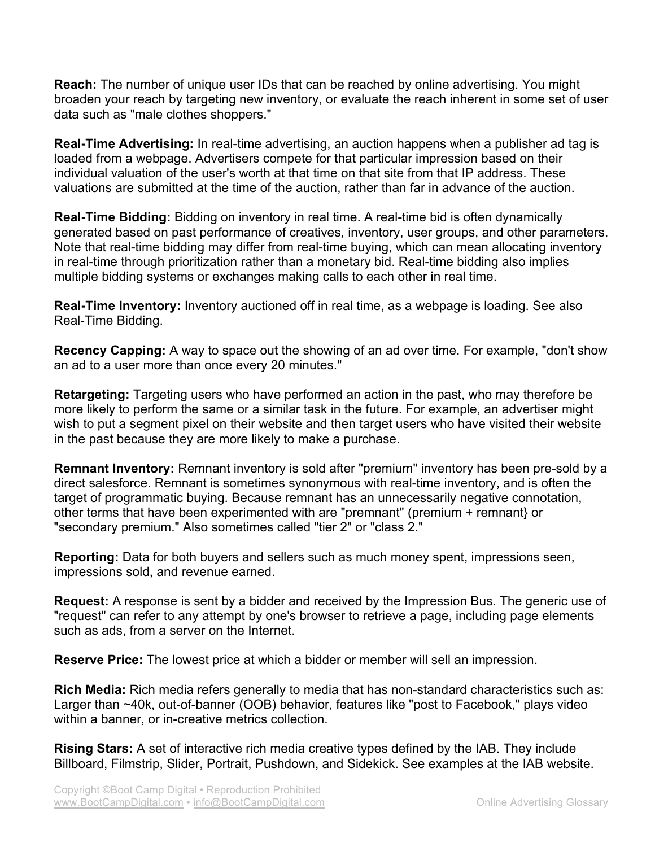**Reach:** The number of unique user IDs that can be reached by online advertising. You might broaden your reach by targeting new inventory, or evaluate the reach inherent in some set of user data such as "male clothes shoppers."

**Real-Time Advertising:** In real-time advertising, an auction happens when a publisher ad tag is loaded from a webpage. Advertisers compete for that particular impression based on their individual valuation of the user's worth at that time on that site from that IP address. These valuations are submitted at the time of the auction, rather than far in advance of the auction.

**Real-Time Bidding:** Bidding on inventory in real time. A real-time bid is often dynamically generated based on past performance of creatives, inventory, user groups, and other parameters. Note that real-time bidding may differ from real-time buying, which can mean allocating inventory in real-time through prioritization rather than a monetary bid. Real-time bidding also implies multiple bidding systems or exchanges making calls to each other in real time.

**Real-Time Inventory:** Inventory auctioned off in real time, as a webpage is loading. See also Real-Time Bidding.

**Recency Capping:** A way to space out the showing of an ad over time. For example, "don't show an ad to a user more than once every 20 minutes."

**Retargeting:** Targeting users who have performed an action in the past, who may therefore be more likely to perform the same or a similar task in the future. For example, an advertiser might wish to put a segment pixel on their website and then target users who have visited their website in the past because they are more likely to make a purchase.

**Remnant Inventory:** Remnant inventory is sold after "premium" inventory has been pre-sold by a direct salesforce. Remnant is sometimes synonymous with real-time inventory, and is often the target of programmatic buying. Because remnant has an unnecessarily negative connotation, other terms that have been experimented with are "premnant" (premium + remnant} or "secondary premium." Also sometimes called "tier 2" or "class 2."

**Reporting:** Data for both buyers and sellers such as much money spent, impressions seen, impressions sold, and revenue earned.

**Request:** A response is sent by a bidder and received by the Impression Bus. The generic use of "request" can refer to any attempt by one's browser to retrieve a page, including page elements such as ads, from a server on the Internet.

**Reserve Price:** The lowest price at which a bidder or member will sell an impression.

**Rich Media:** Rich media refers generally to media that has non-standard characteristics such as: Larger than ~40k, out-of-banner (OOB) behavior, features like "post to Facebook," plays video within a banner, or in-creative metrics collection.

**Rising Stars:** A set of interactive rich media creative types defined by the IAB. They include Billboard, Filmstrip, Slider, Portrait, Pushdown, and Sidekick. See examples at the IAB website.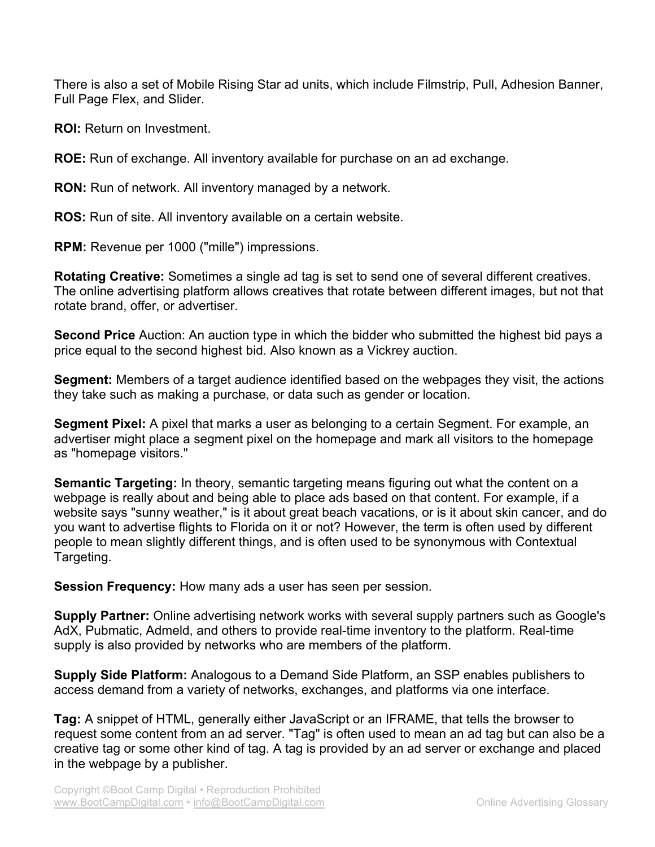There is also a set of Mobile Rising Star ad units, which include Filmstrip, Pull, Adhesion Banner, Full Page Flex, and Slider.

**ROI:** Return on Investment.

**ROE:** Run of exchange. All inventory available for purchase on an ad exchange.

**RON:** Run of network. All inventory managed by a network.

**ROS:** Run of site. All inventory available on a certain website.

**RPM:** Revenue per 1000 ("mille") impressions.

**Rotating Creative:** Sometimes a single ad tag is set to send one of several different creatives. The online advertising platform allows creatives that rotate between different images, but not that rotate brand, offer, or advertiser.

**Second Price** Auction: An auction type in which the bidder who submitted the highest bid pays a price equal to the second highest bid. Also known as a Vickrey auction.

**Segment:** Members of a target audience identified based on the webpages they visit, the actions they take such as making a purchase, or data such as gender or location.

**Segment Pixel:** A pixel that marks a user as belonging to a certain Segment. For example, an advertiser might place a segment pixel on the homepage and mark all visitors to the homepage as "homepage visitors."

**Semantic Targeting:** In theory, semantic targeting means figuring out what the content on a webpage is really about and being able to place ads based on that content. For example, if a website says "sunny weather," is it about great beach vacations, or is it about skin cancer, and do you want to advertise flights to Florida on it or not? However, the term is often used by different people to mean slightly different things, and is often used to be synonymous with Contextual Targeting.

**Session Frequency:** How many ads a user has seen per session.

**Supply Partner:** Online advertising network works with several supply partners such as Google's AdX, Pubmatic, Admeld, and others to provide real-time inventory to the platform. Real-time supply is also provided by networks who are members of the platform.

**Supply Side Platform:** Analogous to a Demand Side Platform, an SSP enables publishers to access demand from a variety of networks, exchanges, and platforms via one interface.

**Tag:** A snippet of HTML, generally either JavaScript or an IFRAME, that tells the browser to request some content from an ad server. "Tag" is often used to mean an ad tag but can also be a creative tag or some other kind of tag. A tag is provided by an ad server or exchange and placed in the webpage by a publisher.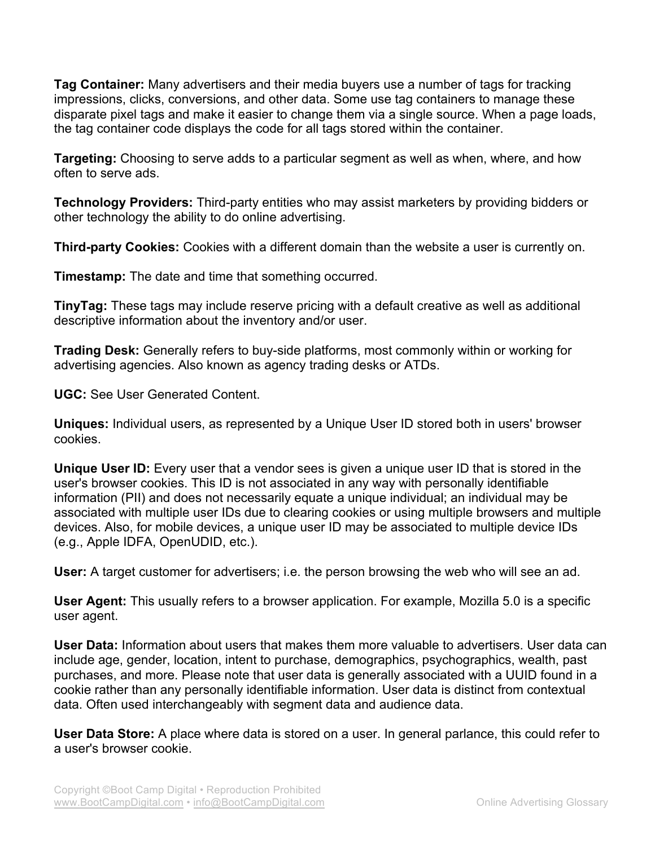**Tag Container:** Many advertisers and their media buyers use a number of tags for tracking impressions, clicks, conversions, and other data. Some use tag containers to manage these disparate pixel tags and make it easier to change them via a single source. When a page loads, the tag container code displays the code for all tags stored within the container.

**Targeting:** Choosing to serve adds to a particular segment as well as when, where, and how often to serve ads.

**Technology Providers:** Third-party entities who may assist marketers by providing bidders or other technology the ability to do online advertising.

**Third-party Cookies:** Cookies with a different domain than the website a user is currently on.

**Timestamp:** The date and time that something occurred.

**TinyTag:** These tags may include reserve pricing with a default creative as well as additional descriptive information about the inventory and/or user.

**Trading Desk:** Generally refers to buy-side platforms, most commonly within or working for advertising agencies. Also known as agency trading desks or ATDs.

**UGC:** See User Generated Content.

**Uniques:** Individual users, as represented by a Unique User ID stored both in users' browser cookies.

**Unique User ID:** Every user that a vendor sees is given a unique user ID that is stored in the user's browser cookies. This ID is not associated in any way with personally identifiable information (PII) and does not necessarily equate a unique individual; an individual may be associated with multiple user IDs due to clearing cookies or using multiple browsers and multiple devices. Also, for mobile devices, a unique user ID may be associated to multiple device IDs (e.g., Apple IDFA, OpenUDID, etc.).

**User:** A target customer for advertisers; i.e. the person browsing the web who will see an ad.

**User Agent:** This usually refers to a browser application. For example, Mozilla 5.0 is a specific user agent.

**User Data:** Information about users that makes them more valuable to advertisers. User data can include age, gender, location, intent to purchase, demographics, psychographics, wealth, past purchases, and more. Please note that user data is generally associated with a UUID found in a cookie rather than any personally identifiable information. User data is distinct from contextual data. Often used interchangeably with segment data and audience data.

**User Data Store:** A place where data is stored on a user. In general parlance, this could refer to a user's browser cookie.